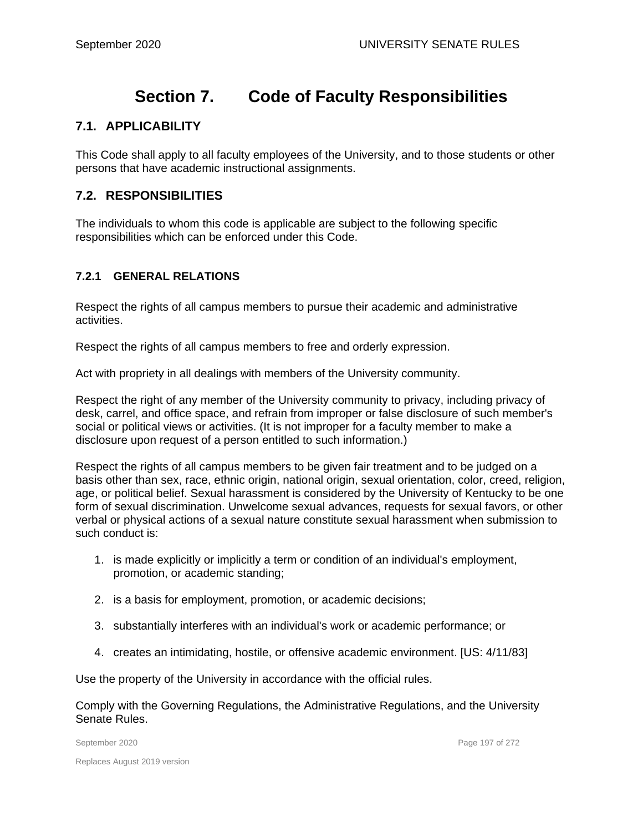# **Section 7. Code of Faculty Responsibilities**

## **7.1. APPLICABILITY**

This Code shall apply to all faculty employees of the University, and to those students or other persons that have academic instructional assignments.

## **7.2. RESPONSIBILITIES**

The individuals to whom this code is applicable are subject to the following specific responsibilities which can be enforced under this Code.

#### **7.2.1 GENERAL RELATIONS**

Respect the rights of all campus members to pursue their academic and administrative activities.

Respect the rights of all campus members to free and orderly expression.

Act with propriety in all dealings with members of the University community.

Respect the right of any member of the University community to privacy, including privacy of desk, carrel, and office space, and refrain from improper or false disclosure of such member's social or political views or activities. (It is not improper for a faculty member to make a disclosure upon request of a person entitled to such information.)

Respect the rights of all campus members to be given fair treatment and to be judged on a basis other than sex, race, ethnic origin, national origin, sexual orientation, color, creed, religion, age, or political belief. Sexual harassment is considered by the University of Kentucky to be one form of sexual discrimination. Unwelcome sexual advances, requests for sexual favors, or other verbal or physical actions of a sexual nature constitute sexual harassment when submission to such conduct is:

- 1. is made explicitly or implicitly a term or condition of an individual's employment, promotion, or academic standing;
- 2. is a basis for employment, promotion, or academic decisions;
- 3. substantially interferes with an individual's work or academic performance; or
- 4. creates an intimidating, hostile, or offensive academic environment. [US: 4/11/83]

Use the property of the University in accordance with the official rules.

Comply with the Governing Regulations, the Administrative Regulations, and the University Senate Rules.

September 2020 **Page 197 of 272**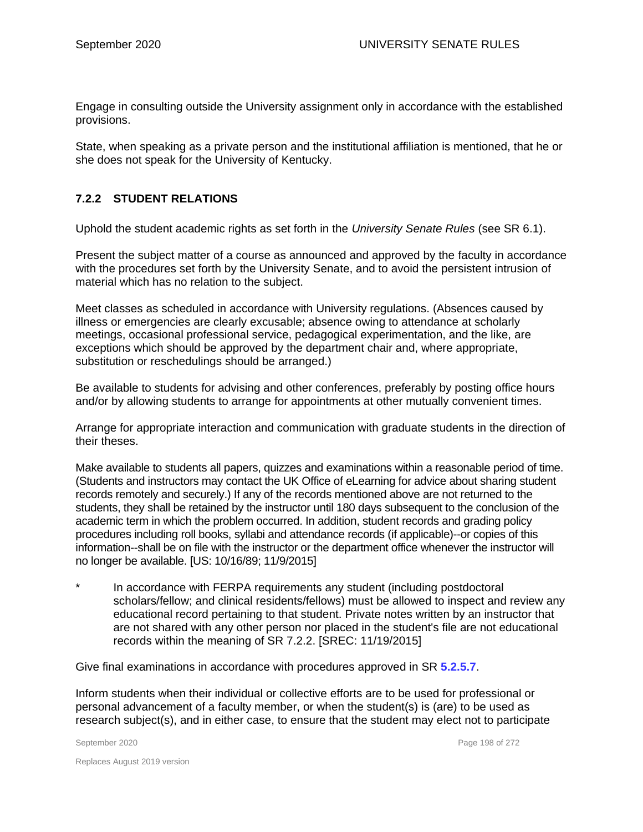Engage in consulting outside the University assignment only in accordance with the established provisions.

State, when speaking as a private person and the institutional affiliation is mentioned, that he or she does not speak for the University of Kentucky.

#### **7.2.2 STUDENT RELATIONS**

Uphold the student academic rights as set forth in the *University Senate Rules* (see SR 6.1).

Present the subject matter of a course as announced and approved by the faculty in accordance with the procedures set forth by the University Senate, and to avoid the persistent intrusion of material which has no relation to the subject.

Meet classes as scheduled in accordance with University regulations. (Absences caused by illness or emergencies are clearly excusable; absence owing to attendance at scholarly meetings, occasional professional service, pedagogical experimentation, and the like, are exceptions which should be approved by the department chair and, where appropriate, substitution or reschedulings should be arranged.)

Be available to students for advising and other conferences, preferably by posting office hours and/or by allowing students to arrange for appointments at other mutually convenient times.

Arrange for appropriate interaction and communication with graduate students in the direction of their theses.

Make available to students all papers, quizzes and examinations within a reasonable period of time. (Students and instructors may contact the UK Office of eLearning for advice about sharing student records remotely and securely.) If any of the records mentioned above are not returned to the students, they shall be retained by the instructor until 180 days subsequent to the conclusion of the academic term in which the problem occurred. In addition, student records and grading policy procedures including roll books, syllabi and attendance records (if applicable)--or copies of this information--shall be on file with the instructor or the department office whenever the instructor will no longer be available. [US: 10/16/89; 11/9/2015]

In accordance with FERPA requirements any student (including postdoctoral scholars/fellow; and clinical residents/fellows) must be allowed to inspect and review any educational record pertaining to that student. Private notes written by an instructor that are not shared with any other person nor placed in the student's file are not educational records within the meaning of SR 7.2.2. [SREC: 11/19/2015]

Give final examinations in accordance with procedures approved in SR **5.2.5.7**.

Inform students when their individual or collective efforts are to be used for professional or personal advancement of a faculty member, or when the student(s) is (are) to be used as research subject(s), and in either case, to ensure that the student may elect not to participate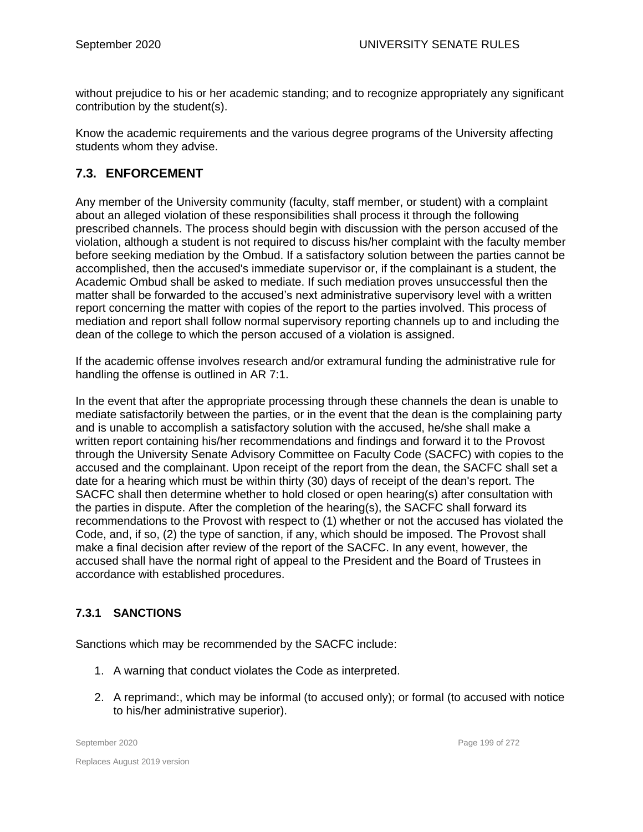without prejudice to his or her academic standing; and to recognize appropriately any significant contribution by the student(s).

Know the academic requirements and the various degree programs of the University affecting students whom they advise.

# **7.3. ENFORCEMENT**

Any member of the University community (faculty, staff member, or student) with a complaint about an alleged violation of these responsibilities shall process it through the following prescribed channels. The process should begin with discussion with the person accused of the violation, although a student is not required to discuss his/her complaint with the faculty member before seeking mediation by the Ombud. If a satisfactory solution between the parties cannot be accomplished, then the accused's immediate supervisor or, if the complainant is a student, the Academic Ombud shall be asked to mediate. If such mediation proves unsuccessful then the matter shall be forwarded to the accused's next administrative supervisory level with a written report concerning the matter with copies of the report to the parties involved. This process of mediation and report shall follow normal supervisory reporting channels up to and including the dean of the college to which the person accused of a violation is assigned.

If the academic offense involves research and/or extramural funding the administrative rule for handling the offense is outlined in AR 7:1.

In the event that after the appropriate processing through these channels the dean is unable to mediate satisfactorily between the parties, or in the event that the dean is the complaining party and is unable to accomplish a satisfactory solution with the accused, he/she shall make a written report containing his/her recommendations and findings and forward it to the Provost through the University Senate Advisory Committee on Faculty Code (SACFC) with copies to the accused and the complainant. Upon receipt of the report from the dean, the SACFC shall set a date for a hearing which must be within thirty (30) days of receipt of the dean's report. The SACFC shall then determine whether to hold closed or open hearing(s) after consultation with the parties in dispute. After the completion of the hearing(s), the SACFC shall forward its recommendations to the Provost with respect to (1) whether or not the accused has violated the Code, and, if so, (2) the type of sanction, if any, which should be imposed. The Provost shall make a final decision after review of the report of the SACFC. In any event, however, the accused shall have the normal right of appeal to the President and the Board of Trustees in accordance with established procedures.

#### **7.3.1 SANCTIONS**

Sanctions which may be recommended by the SACFC include:

- 1. A warning that conduct violates the Code as interpreted.
- 2. A reprimand:, which may be informal (to accused only); or formal (to accused with notice to his/her administrative superior).

September 2020 Page 199 of 272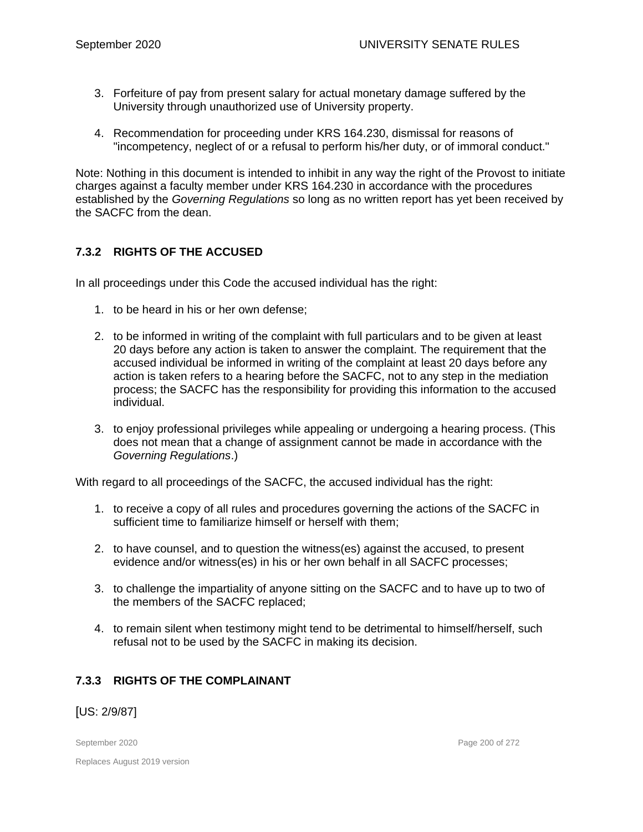- 3. Forfeiture of pay from present salary for actual monetary damage suffered by the University through unauthorized use of University property.
- 4. Recommendation for proceeding under KRS 164.230, dismissal for reasons of "incompetency, neglect of or a refusal to perform his/her duty, or of immoral conduct."

Note: Nothing in this document is intended to inhibit in any way the right of the Provost to initiate charges against a faculty member under KRS 164.230 in accordance with the procedures established by the *Governing Regulations* so long as no written report has yet been received by the SACFC from the dean.

## **7.3.2 RIGHTS OF THE ACCUSED**

In all proceedings under this Code the accused individual has the right:

- 1. to be heard in his or her own defense;
- 2. to be informed in writing of the complaint with full particulars and to be given at least 20 days before any action is taken to answer the complaint. The requirement that the accused individual be informed in writing of the complaint at least 20 days before any action is taken refers to a hearing before the SACFC, not to any step in the mediation process; the SACFC has the responsibility for providing this information to the accused individual.
- 3. to enjoy professional privileges while appealing or undergoing a hearing process. (This does not mean that a change of assignment cannot be made in accordance with the *Governing Regulations*.)

With regard to all proceedings of the SACFC, the accused individual has the right:

- 1. to receive a copy of all rules and procedures governing the actions of the SACFC in sufficient time to familiarize himself or herself with them;
- 2. to have counsel, and to question the witness(es) against the accused, to present evidence and/or witness(es) in his or her own behalf in all SACFC processes;
- 3. to challenge the impartiality of anyone sitting on the SACFC and to have up to two of the members of the SACFC replaced;
- 4. to remain silent when testimony might tend to be detrimental to himself/herself, such refusal not to be used by the SACFC in making its decision.

#### **7.3.3 RIGHTS OF THE COMPLAINANT**

[US: 2/9/87]

Replaces August 2019 version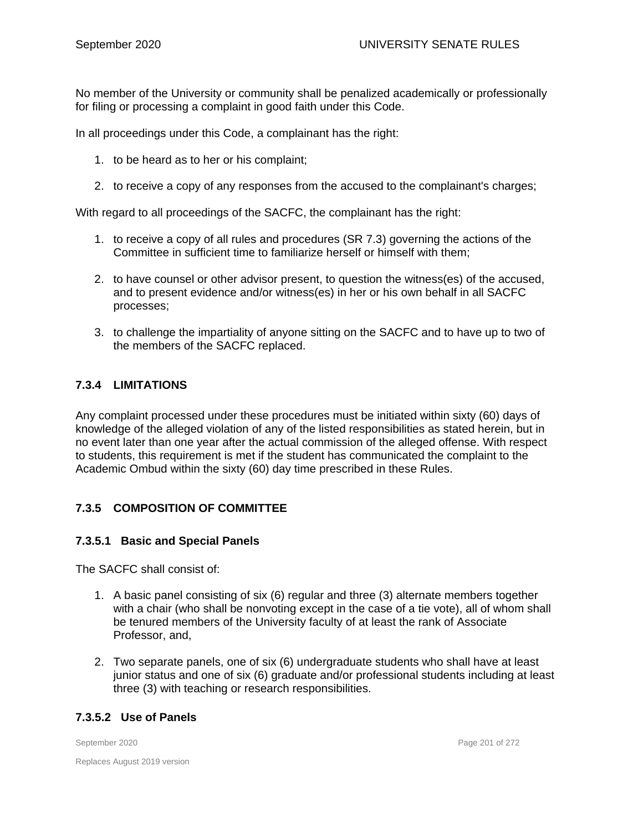No member of the University or community shall be penalized academically or professionally for filing or processing a complaint in good faith under this Code.

In all proceedings under this Code, a complainant has the right:

- 1. to be heard as to her or his complaint;
- 2. to receive a copy of any responses from the accused to the complainant's charges;

With regard to all proceedings of the SACFC, the complainant has the right:

- 1. to receive a copy of all rules and procedures (SR 7.3) governing the actions of the Committee in sufficient time to familiarize herself or himself with them;
- 2. to have counsel or other advisor present, to question the witness(es) of the accused, and to present evidence and/or witness(es) in her or his own behalf in all SACFC processes;
- 3. to challenge the impartiality of anyone sitting on the SACFC and to have up to two of the members of the SACFC replaced.

#### **7.3.4 LIMITATIONS**

Any complaint processed under these procedures must be initiated within sixty (60) days of knowledge of the alleged violation of any of the listed responsibilities as stated herein, but in no event later than one year after the actual commission of the alleged offense. With respect to students, this requirement is met if the student has communicated the complaint to the Academic Ombud within the sixty (60) day time prescribed in these Rules.

#### **7.3.5 COMPOSITION OF COMMITTEE**

#### **7.3.5.1 Basic and Special Panels**

The SACFC shall consist of:

- 1. A basic panel consisting of six (6) regular and three (3) alternate members together with a chair (who shall be nonvoting except in the case of a tie vote), all of whom shall be tenured members of the University faculty of at least the rank of Associate Professor, and,
- 2. Two separate panels, one of six (6) undergraduate students who shall have at least junior status and one of six (6) graduate and/or professional students including at least three (3) with teaching or research responsibilities.

#### **7.3.5.2 Use of Panels**

September 2020 Page 201 of 272

Replaces August 2019 version